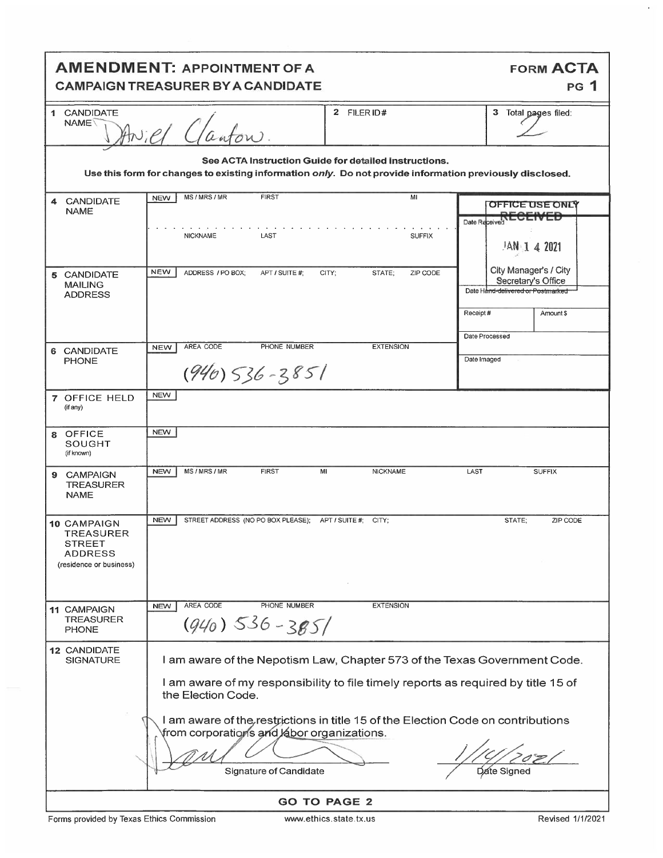| <b>AMENDMENT: APPOINTMENT OF A</b><br><b>FORM ACTA</b><br><b>PG 1</b><br><b>CAMPAIGN TREASURER BY A CANDIDATE</b>                                                                                                                                                                                            |                                                                                           |                                                                                                           |  |  |  |  |  |
|--------------------------------------------------------------------------------------------------------------------------------------------------------------------------------------------------------------------------------------------------------------------------------------------------------------|-------------------------------------------------------------------------------------------|-----------------------------------------------------------------------------------------------------------|--|--|--|--|--|
| 1 CANDIDATE<br>NAME <sup>\</sup>                                                                                                                                                                                                                                                                             | 2 FILER ID#<br>Aniel Clanton.                                                             | 3 Total pages filed:                                                                                      |  |  |  |  |  |
| See ACTA Instruction Guide for detailed instructions.<br>Use this form for changes to existing information only. Do not provide information previously disclosed.                                                                                                                                            |                                                                                           |                                                                                                           |  |  |  |  |  |
| <b>CANDIDATE</b><br>4<br><b>NAME</b>                                                                                                                                                                                                                                                                         | MS/MRS/MR<br><b>FIRST</b><br>MI<br><b>NEW</b><br><b>NICKNAME</b><br>LAST<br><b>SUFFIX</b> | OFFICE USE ONLY<br>Date Received<br>$1$ AN 1 4 2021                                                       |  |  |  |  |  |
| 5 CANDIDATE<br><b>MAILING</b><br><b>ADDRESS</b>                                                                                                                                                                                                                                                              | <b>NEW</b><br>ADDRESS / PO BOX;<br>APT / SUITE #;<br>CITY;<br>STATE;<br>ZIP CODE          | City Manager's / City<br>Secretary's Office<br>Date Hand-delivered or Postmarked<br>Receipt#<br>Amount \$ |  |  |  |  |  |
| 6 CANDIDATE<br><b>PHONE</b>                                                                                                                                                                                                                                                                                  | AREA CODE<br>PHONE NUMBER<br><b>EXTENSION</b><br><b>NEW</b><br>$(940)$ 536-3851           | Date Processed<br>Date Imaged                                                                             |  |  |  |  |  |
| 7 OFFICE HELD<br>(if any)                                                                                                                                                                                                                                                                                    | <b>NEW</b>                                                                                |                                                                                                           |  |  |  |  |  |
| <b>OFFICE</b><br>8<br>SOUGHT<br>(if known)                                                                                                                                                                                                                                                                   | <b>NEW</b>                                                                                |                                                                                                           |  |  |  |  |  |
| <b>CAMPAIGN</b><br>9<br><b>TREASURER</b><br><b>NAME</b>                                                                                                                                                                                                                                                      | <b>NEW</b><br>MS/MRS/MR<br><b>FIRST</b><br>NICKNAME<br>MI                                 | LAST<br><b>SUFFIX</b>                                                                                     |  |  |  |  |  |
| <b>10 CAMPAIGN</b><br><b>TREASURER</b><br>STREET<br><b>ADDRESS</b><br>(residence or business)                                                                                                                                                                                                                | <b>NEW</b><br>STREET ADDRESS (NO PO BOX PLEASE); APT / SUITE #; CITY;                     | STATE:<br>ZIP CODE                                                                                        |  |  |  |  |  |
| 11 CAMPAIGN<br><b>TREASURER</b><br><b>PHONE</b>                                                                                                                                                                                                                                                              | AREA CODE<br>PHONE NUMBER<br><b>EXTENSION</b><br><b>NEW</b><br>$(940)$ 536-385/           |                                                                                                           |  |  |  |  |  |
| 12 CANDIDATE<br>I am aware of the Nepotism Law, Chapter 573 of the Texas Government Code.<br><b>SIGNATURE</b><br>I am aware of my responsibility to file timely reports as required by title 15 of<br>the Election Code.<br>I am aware of the restrictions in title 15 of the Election Code on contributions |                                                                                           |                                                                                                           |  |  |  |  |  |
|                                                                                                                                                                                                                                                                                                              | from corporations and labor organizations.<br>Signature of Candidate                      | Date Sianec                                                                                               |  |  |  |  |  |
| <b>GO TO PAGE 2</b>                                                                                                                                                                                                                                                                                          |                                                                                           |                                                                                                           |  |  |  |  |  |

 $\epsilon$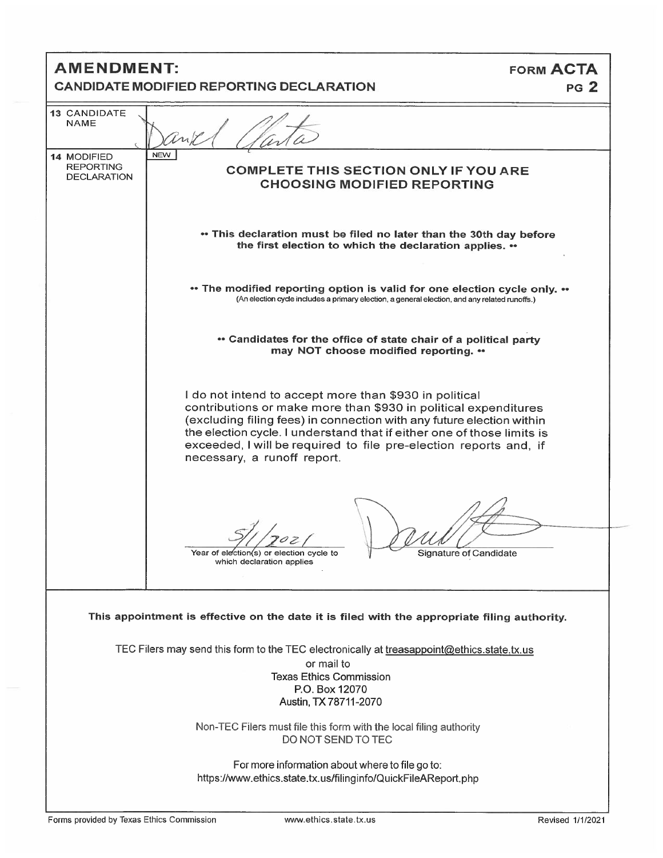| <b>AMENDMENT:</b><br><b>CANDIDATE MODIFIED REPORTING DECLARATION</b> |                                                                                                                                                                                                                                                                                                                                                                                  | <b>FORM ACTA</b><br>PG <sub>2</sub> |  |  |  |
|----------------------------------------------------------------------|----------------------------------------------------------------------------------------------------------------------------------------------------------------------------------------------------------------------------------------------------------------------------------------------------------------------------------------------------------------------------------|-------------------------------------|--|--|--|
| 13 CANDIDATE<br><b>NAME</b>                                          |                                                                                                                                                                                                                                                                                                                                                                                  |                                     |  |  |  |
| 14 MODIFIED<br><b>REPORTING</b><br><b>DECLARATION</b>                | <b>NEW</b><br><b>COMPLETE THIS SECTION ONLY IF YOU ARE</b><br><b>CHOOSING MODIFIED REPORTING</b>                                                                                                                                                                                                                                                                                 |                                     |  |  |  |
|                                                                      | • This declaration must be filed no later than the 30th day before<br>the first election to which the declaration applies. ••                                                                                                                                                                                                                                                    |                                     |  |  |  |
|                                                                      | ** The modified reporting option is valid for one election cycle only. **<br>(An election cycle includes a primary election, a general election, and any related runoffs.)                                                                                                                                                                                                       |                                     |  |  |  |
|                                                                      | • Candidates for the office of state chair of a political party<br>may NOT choose modified reporting. ••                                                                                                                                                                                                                                                                         |                                     |  |  |  |
|                                                                      | I do not intend to accept more than \$930 in political<br>contributions or make more than \$930 in political expenditures<br>(excluding filing fees) in connection with any future election within<br>the election cycle. I understand that if either one of those limits is<br>exceeded, I will be required to file pre-election reports and, if<br>necessary, a runoff report. |                                     |  |  |  |
|                                                                      | Signature of Candidate<br>Year of election(s) or election cycle to<br>which declaration applies                                                                                                                                                                                                                                                                                  |                                     |  |  |  |
|                                                                      | This appointment is effective on the date it is filed with the appropriate filing authority.                                                                                                                                                                                                                                                                                     |                                     |  |  |  |
|                                                                      | TEC Filers may send this form to the TEC electronically at treasappoint@ethics.state.tx.us<br>or mail to<br><b>Texas Ethics Commission</b><br>P.O. Box 12070<br>Austin, TX 78711-2070                                                                                                                                                                                            |                                     |  |  |  |
|                                                                      | Non-TEC Filers must file this form with the local filing authority<br>DO NOT SEND TO TEC                                                                                                                                                                                                                                                                                         |                                     |  |  |  |
|                                                                      | For more information about where to file go to:<br>https://www.ethics.state.tx.us/filinginfo/QuickFileAReport.php                                                                                                                                                                                                                                                                |                                     |  |  |  |